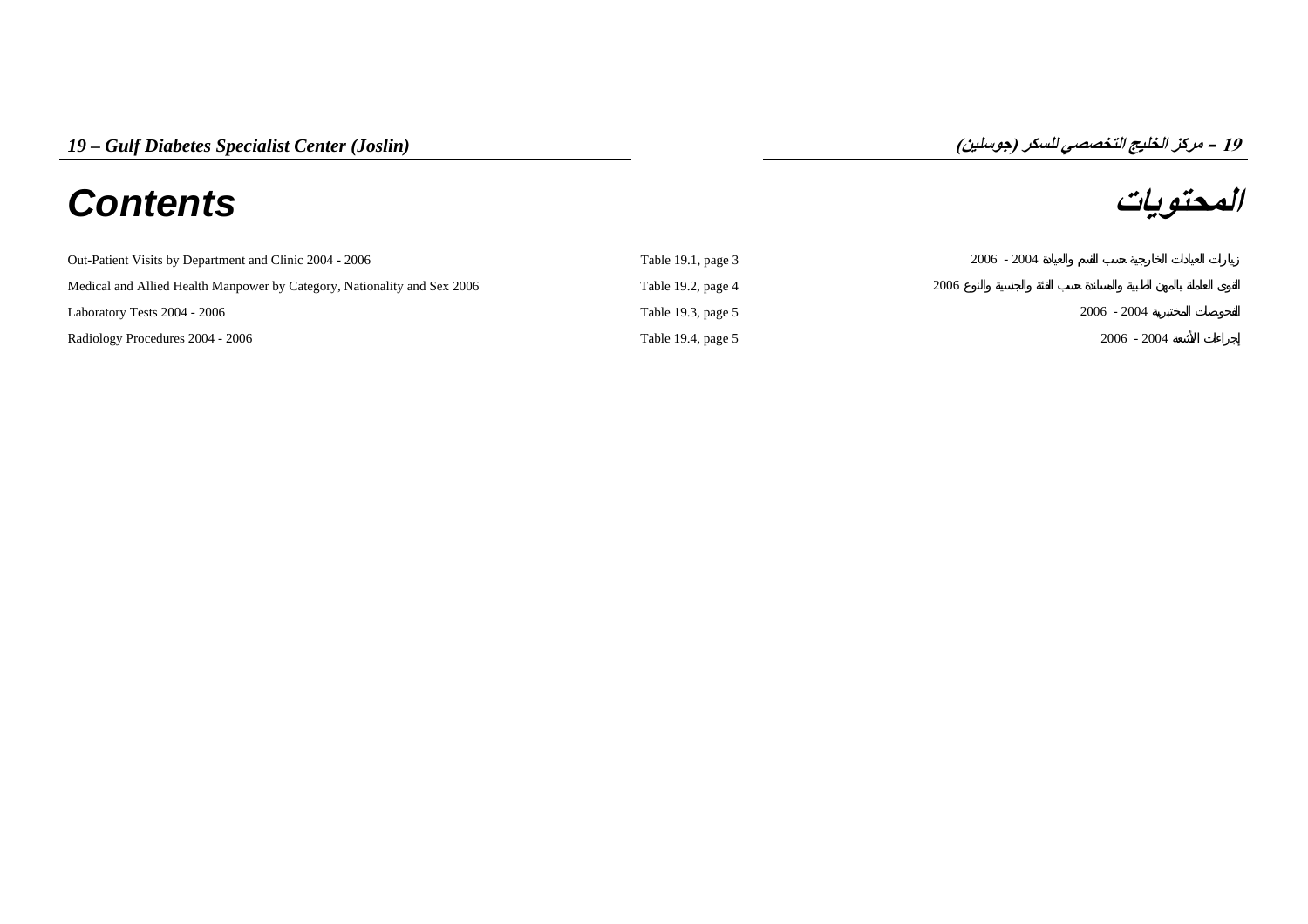# **المحتويات** *Contents*

**19 – مرآز الخليج التخصصي للسكر (جوسلين)**

| Out-Patient Visits by Department and Clinic 2004 - 2006                  | Table 19.1, page $3$ | $2006 - 2004$ |
|--------------------------------------------------------------------------|----------------------|---------------|
| Medical and Allied Health Manpower by Category, Nationality and Sex 2006 | Table 19.2, page $4$ | 2006          |
| Laboratory Tests 2004 - 2006                                             | Table 19.3, page 5   | $2006 - 2004$ |
| Radiology Procedures 2004 - 2006                                         | Table 19.4, page 5   | $2006 - 2004$ |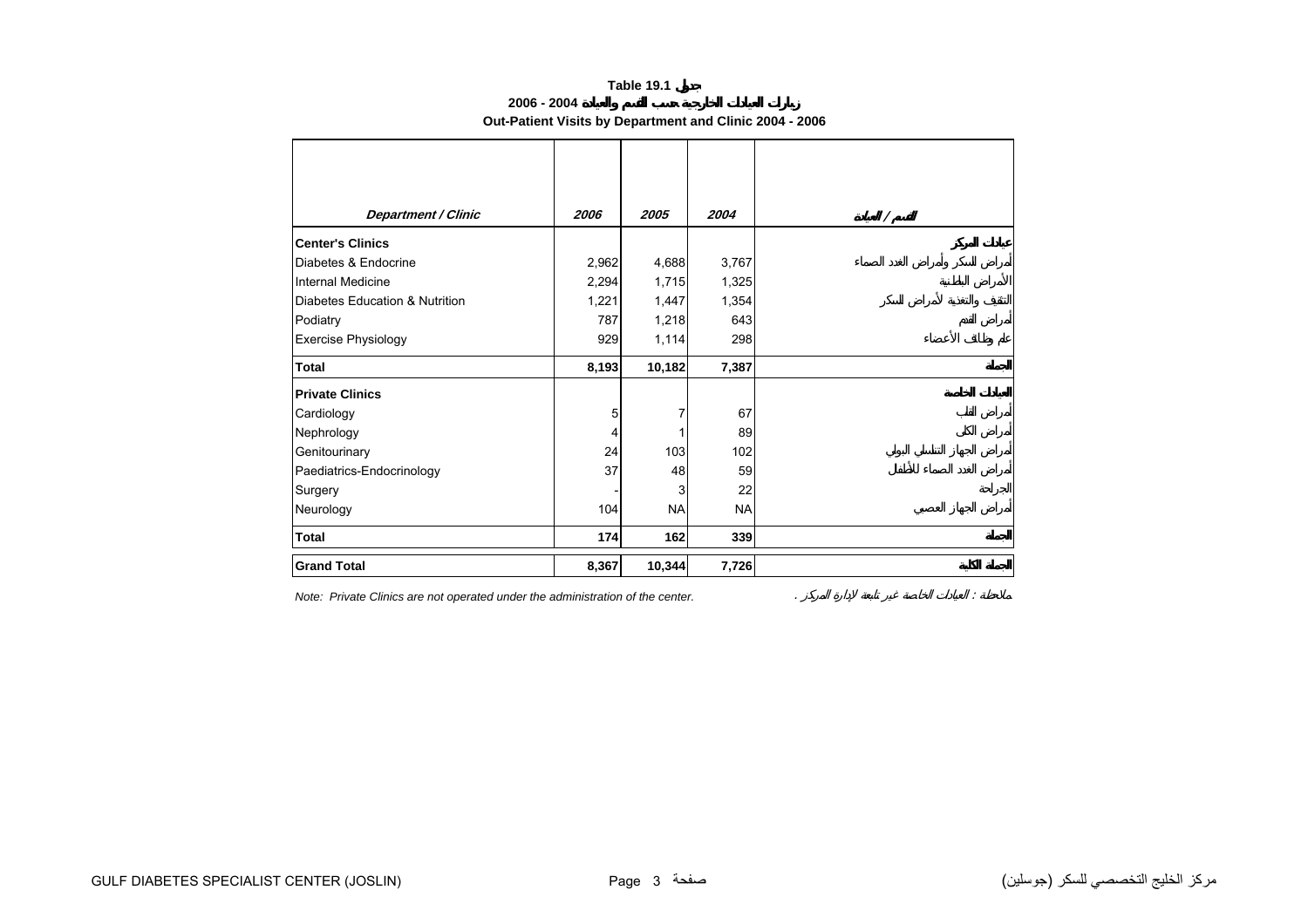## **Table 19.1**

**2006 - 2004**

## **Out-Patient Visits by Department and Clinic 2004 - 2006**

<span id="page-1-0"></span>

| <b>Department / Clinic</b>     | 2006  | 2005      | 2004      | $\prime$ |
|--------------------------------|-------|-----------|-----------|----------|
| <b>Center's Clinics</b>        |       |           |           |          |
| Diabetes & Endocrine           | 2,962 | 4,688     | 3,767     |          |
| Internal Medicine              | 2,294 | 1,715     | 1,325     |          |
| Diabetes Education & Nutrition | 1,221 | 1,447     | 1,354     |          |
| Podiatry                       | 787   | 1,218     | 643       |          |
| <b>Exercise Physiology</b>     | 929   | 1,114     | 298       |          |
| <b>Total</b>                   | 8,193 | 10,182    | 7,387     |          |
| <b>Private Clinics</b>         |       |           |           |          |
| Cardiology                     | 5     | 7         | 67        |          |
| Nephrology                     | 4     |           | 89        |          |
| Genitourinary                  | 24    | 103       | 102       |          |
| Paediatrics-Endocrinology      | 37    | 48        | 59        |          |
| Surgery                        |       | 3         | 22        |          |
| Neurology                      | 104   | <b>NA</b> | <b>NA</b> |          |
| <b>Total</b>                   | 174   | 162       | 339       |          |
| <b>Grand Total</b>             | 8,367 | 10,344    | 7,726     |          |

*Note: Private Clinics are not operated under the administration of the center.* . :

مرآز الخليج التخصصي للسكر (جوسلين) صفحة 3 Page) JOSLIN (CENTER SPECIALIST DIABETES GULF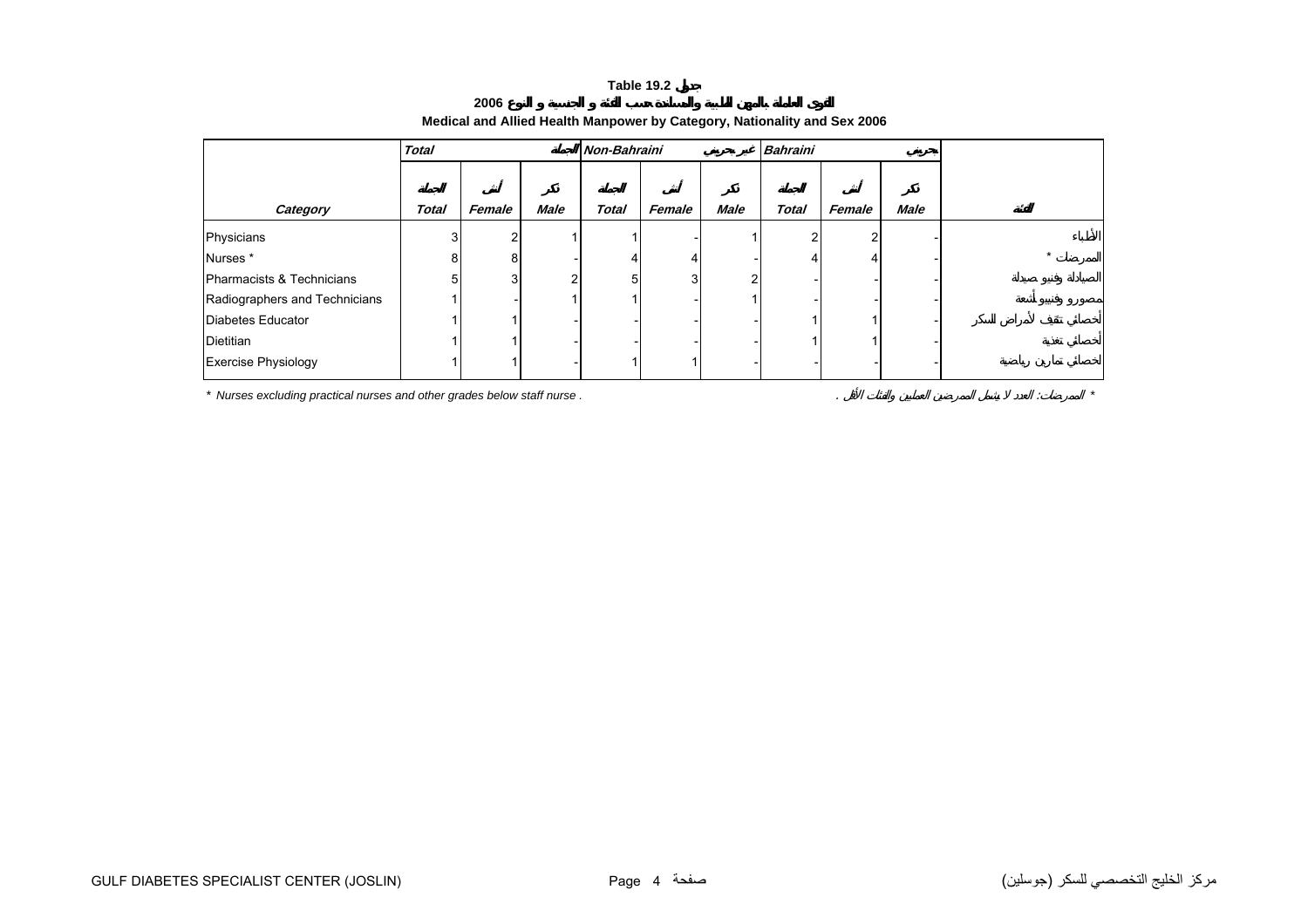#### **Table 19.2**

<span id="page-2-0"></span>

|                               | <b>Total</b> |        |                | Non-Bahraini |        |             | <b>Bahraini</b> |        |             |
|-------------------------------|--------------|--------|----------------|--------------|--------|-------------|-----------------|--------|-------------|
| Category                      | <b>Total</b> | Female | <b>Male</b>    | <b>Total</b> | Female | <b>Male</b> | <b>Total</b>    | Female | <b>Male</b> |
| Physicians                    | 3            | ົ      |                |              |        |             | ົ               | ົ      |             |
| Nurses*                       | 8            | 8      |                |              | 4      |             | 4               | 4      |             |
| Pharmacists & Technicians     | 5            | 3      | $\overline{2}$ |              | 3      | ີ           |                 |        |             |
| Radiographers and Technicians |              |        |                |              |        |             |                 |        |             |
| Diabetes Educator             |              |        |                |              |        |             |                 |        |             |
| Dietitian                     |              |        |                |              |        |             |                 |        |             |
| Exercise Physiology           |              |        |                |              |        |             |                 |        |             |

## **Medical and Allied Health Manpower by Category, Nationality and Sex 2006**

*\* Nurses excluding practical nurses and other grades below staff nurse .* . : *\**

**2006**